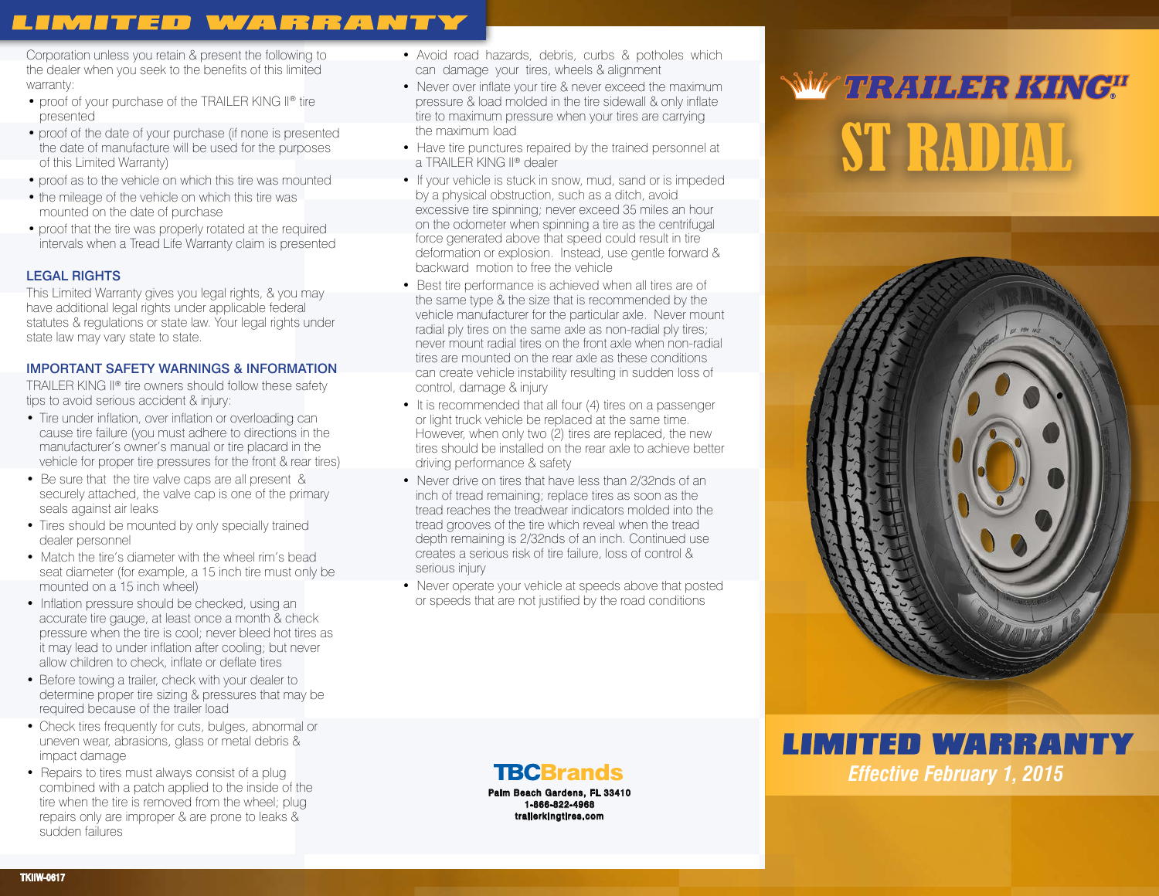## **LIMITED WARRANTY**

Corporation unless you retain & present the following to the dealer when you seek to the benefits of this limited warranty:

- proof of your purchase of the TRAILER KING II® tire presented
- proof of the date of your purchase (if none is presented the date of manufacture will be used for the purposes of this Limited Warranty)
- proof as to the vehicle on which this tire was mounted
- the mileage of the vehicle on which this tire was mounted on the date of purchase
- proof that the tire was properly rotated at the required intervals when a Tread Life Warranty claim is presented

#### LEGAL RIGHTS

This Limited Warranty gives you legal rights, & you may have additional legal rights under applicable federal statutes & regulations or state law. Your legal rights under state law may vary state to state.

#### IMPORTANT SAFETY WARNINGS & INFORMATION

TRAILER KING II® tire owners should follow these safety tips to avoid serious accident & injury:

- Tire under inflation, over inflation or overloading can cause tire failure (you must adhere to directions in the manufacturer's owner's manual or tire placard in the vehicle for proper tire pressures for the front & rear tires)
- Be sure that the tire valve caps are all present & securely attached, the valve cap is one of the primary seals against air leaks
- Tires should be mounted by only specially trained dealer personnel
- Match the tire's diameter with the wheel rim's bead seat diameter (for example, a 15 inch tire must only be mounted on a 15 inch wheel)
- Inflation pressure should be checked, using an accurate tire gauge, at least once a month & check pressure when the tire is cool; never bleed hot tires as it may lead to under inflation after cooling; but never allow children to check, inflate or deflate tires
- Before towing a trailer, check with your dealer to determine proper tire sizing & pressures that may be required because of the trailer load
- Check tires frequently for cuts, bulges, abnormal or uneven wear, abrasions, glass or metal debris & impact damage
- Repairs to tires must always consist of a plug combined with a patch applied to the inside of the tire when the tire is removed from the wheel; plug repairs only are improper & are prone to leaks & sudden failures
- Avoid road hazards, debris, curbs & potholes which can damage your tires, wheels & alignment
- Never over inflate your tire & never exceed the maximum pressure & load molded in the tire sidewall & only inflate tire to maximum pressure when your tires are carrying the maximum load
- Have tire punctures repaired by the trained personnel at a TRAILER KING II® dealer
- If your vehicle is stuck in snow, mud, sand or is impeded by a physical obstruction, such as a ditch, avoid excessive tire spinning; never exceed 35 miles an hour on the odometer when spinning a tire as the centrifugal force generated above that speed could result in tire deformation or explosion. Instead, use gentle forward & backward motion to free the vehicle
- Best tire performance is achieved when all tires are of the same type & the size that is recommended by the vehicle manufacturer for the particular axle. Never mount radial ply tires on the same axle as non-radial ply tires; never mount radial tires on the front axle when non-radial tires are mounted on the rear axle as these conditions can create vehicle instability resulting in sudden loss of control, damage & injury
- It is recommended that all four (4) tires on a passenger or light truck vehicle be replaced at the same time. However, when only two (2) tires are replaced, the new tires should be installed on the rear axle to achieve better driving performance & safety
- Never drive on tires that have less than 2/32nds of an inch of tread remaining; replace tires as soon as the tread reaches the treadwear indicators molded into the tread grooves of the tire which reveal when the tread depth remaining is 2/32nds of an inch. Continued use creates a serious risk of tire failure, loss of control & serious injury
- Never operate your vehicle at speeds above that posted or speeds that are not justified by the road conditions

**TBCBrands** Palm Beach Gardens, FL 33410 1-866-822-4968 trailerkingtires.com

# **WE TRAILER KING"** ST RADIAL



# **LIMITED WARRANTY** *Effective February 1, 2015*